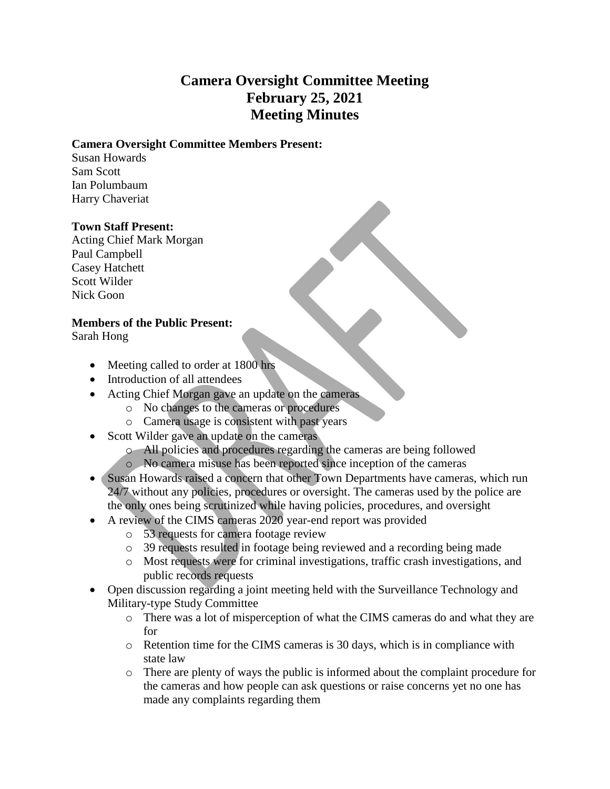## **Camera Oversight Committee Meeting February 25, 2021 Meeting Minutes**

## **Camera Oversight Committee Members Present:**

Susan Howards Sam Scott Ian Polumbaum Harry Chaveriat

## **Town Staff Present:**

Acting Chief Mark Morgan Paul Campbell Casey Hatchett Scott Wilder Nick Goon

## **Members of the Public Present:**

Sarah Hong

- Meeting called to order at 1800 hrs
- Introduction of all attendees
- Acting Chief Morgan gave an update on the cameras
	- o No changes to the cameras or procedures
	- o Camera usage is consistent with past years
- Scott Wilder gave an update on the cameras
	- o All policies and procedures regarding the cameras are being followed
	- o No camera misuse has been reported since inception of the cameras
- Susan Howards raised a concern that other Town Departments have cameras, which run 24/7 without any policies, procedures or oversight. The cameras used by the police are the only ones being scrutinized while having policies, procedures, and oversight
- A review of the CIMS cameras 2020 year-end report was provided
	- o 53 requests for camera footage review
	- o 39 requests resulted in footage being reviewed and a recording being made
	- o Most requests were for criminal investigations, traffic crash investigations, and public records requests
- Open discussion regarding a joint meeting held with the Surveillance Technology and Military-type Study Committee
	- o There was a lot of misperception of what the CIMS cameras do and what they are for
	- o Retention time for the CIMS cameras is 30 days, which is in compliance with state law
	- o There are plenty of ways the public is informed about the complaint procedure for the cameras and how people can ask questions or raise concerns yet no one has made any complaints regarding them